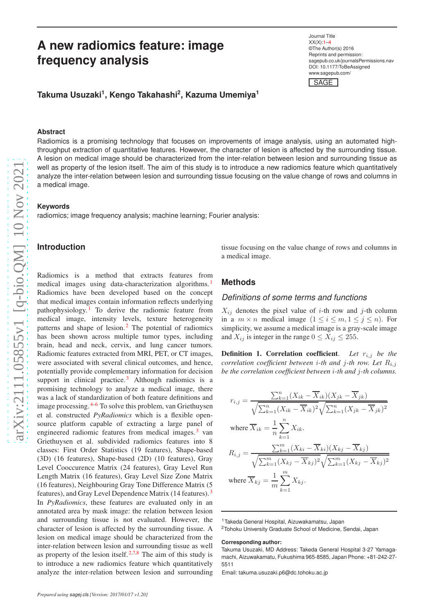# **A new radiomics feature: image frequency analysis**

Journal Title XX(X): 1 – 4 ©The Author(s) 2016 Reprints and permission: sagepub.co.uk/journalsPermissions.nav DOI: 10.1177/ToBeAssigned www.sagepub.com/

SAGE

**Takuma Usuzaki 1 , Kengo Takahashi 2 , Kazuma Umemiya 1**

### **Abstract**

Radiomics is a promising technology that focuses on improvements of image analysis, using an automated highthroughput extraction of quantitative features. However, the character of lesion is affected by the surrounding tissue. A lesion on medical image should be characterized from the inter-relation between lesion and surrounding tissue as well as property of the lesion itself. The aim of this study is to introduce a new radiomics feature which quantitatively analyze the inter-relation between lesion and surrounding tissue focusing on the value change of rows and columns in a medical image.

#### **Keywords**

radiomics; image frequency analysis; machine learning; Fourier analysis:

## **Introduction**

Radiomics is a method that extracts features from medical images using data-characterization algorithms.<sup>1</sup> Radiomics have been developed based on the concept that medical images contain information reflects underlyin g pathophysiology.<sup>1</sup> To derive the radiomic feature from medical image, intensity levels, texture heterogeneity patterns and shape of lesion.<sup>2</sup> The potential of radiomics has been shown across multiple tumor types, including brain, head and neck, cervix, and lung cancer tumors. Radiomic features extracted from MRI, PET, or CT images, were associated with several clinical outcomes, and hence, potentially provide complementary information for decision support in clinical practice.<sup>3</sup> Although radiomics is a promising technology to analyze a medical image, there was a lack of standardization of both feature definitions and image processing. <sup>4–6</sup> To solve this problem, van Griethuysen et al. constructed *PyRadiomics* which is a flexible opensource platform capable of extracting a large panel of engineered radiomic features from medical images. <sup>3</sup> van Griethuysen et al. subdivided radiomics features into 8 classes: First Order Statistics (19 features), Shape-base d (3D) (16 features), Shape-based (2D) (10 features), Gray Level Cooccurence Matrix (24 features), Gray Level Run Length Matrix (16 features), Gray Level Size Zone Matrix (16 features), Neighbouring Gray Tone Difference Matrix (5 features), and Gray Level Dependence Matrix (14 features).<sup>3</sup> In *PyRadiomics*, these features are evaluated only in an annotated area by mask image: the relation between lesion and surrounding tissue is not evaluated. However, the character of lesion is affected by the surrounding tissue. A lesion on medical image should be characterized from the inter-relation between lesion and surrounding tissue as well as property of the lesion itself.<sup>2,7,8</sup> The aim of this study is to introduce a new radiomics feature which quantitatively analyze the inter-relation between lesion and surrounding tissue focusing on the value change of rows and columns in a medical image.

## **Methods**

#### *Definitions of some terms and functions*

 $X_{ij}$  denotes the pixel value of *i*-th row and *j*-th column in a  $m \times n$  medical image  $(1 \le i \le m, 1 \le j \le n)$ . For simplicity, we assume a medical image is a gray-scale image and  $X_{ij}$  is integer in the range  $0 \le X_{ij} \le 255$ .

Definition 1. Correlation coefficient. Let  $r_{i,j}$  be the *correlation coefficient between* i*-th and* j*-th row. Let* Ri,j *be the correlation coefficient between* i*-th and* j*-th columns.*

$$
r_{i,j} = \frac{\sum_{k=1}^{n} (X_{ik} - \overline{X}_{ik})(X_{jk} - \overline{X}_{jk})}{\sqrt{\sum_{k=1}^{n} (X_{ik} - \overline{X}_{ik})^2} \sqrt{\sum_{k=1}^{n} (X_{jk} - \overline{X}_{jk})^2}}
$$
  
where  $\overline{X}_{ik} = \frac{1}{n} \sum_{k=1}^{n} X_{ik}.$   

$$
R_{i,j} = \frac{\sum_{k=1}^{m} (X_{ki} - \overline{X}_{ki})(X_{kj} - \overline{X}_{kj})}{\sqrt{\sum_{k=1}^{m} (X_{kj} - \overline{X}_{kj})^2} \sqrt{\sum_{k=1}^{m} (X_{kj} - \overline{X}_{kj})^2}}
$$
  
where  $\overline{X}_{kj} = \frac{1}{m} \sum_{k=1}^{m} X_{kj}.$ 

#### **Corresponding author:**

Email: takuma.usuzaki.p6@dc.tohoku.ac.jp

<sup>1</sup>Takeda General Hospital, Aizuwakamatsu, Japan

<sup>2</sup>Tohoku University Graduate School of Medicine, Sendai, Japan

Takuma Usuzaki, MD Address: Takeda General Hospital 3-27 Yamagamachi, Aizuwakamatu, Fukushima 965-8585, Japan Phone: +81-242-27- 5511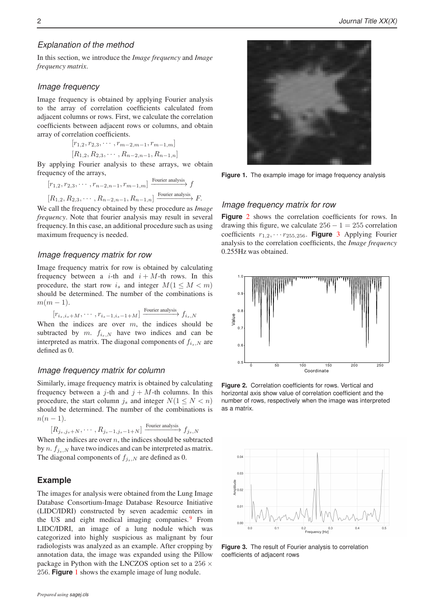## *Explanation of the method*

In this section, we introduce the *Image frequency* and *Image frequency matrix*.

## *Image frequency*

Image frequency is obtained by applying Fourier analysis to the array of correlation coefficients calculated from adjacent columns or rows. First, we calculate the correlation coefficients between adjacent rows or columns, and obtain array of correlation coefficients.

$$
[r_{1,2}, r_{2,3}, \cdots, r_{m-2,m-1}, r_{m-1,m}]
$$

$$
[R_{1,2}, R_{2,3}, \cdots, R_{n-2,n-1}, R_{n-1,n}]
$$

By applying Fourier analysis to these arrays, we obtain frequency of the arrays,

$$
[r_{1,2}, r_{2,3}, \cdots, r_{n-2,n-1}, r_{m-1,m}] \xrightarrow{\text{Fourier analysis}} f
$$
  

$$
[R_{1,2}, R_{2,3}, \cdots, R_{n-2,n-1}, R_{n-1,n}] \xrightarrow{\text{Fourier analysis}} F.
$$

We call the frequency obtained by these procedure as *Image frequency*. Note that fourier analysis may result in several frequency. In this case, an additional procedure such as using maximum frequency is needed.

#### *Image frequency matrix for row*

Image frequency matrix for row is obtained by calculating frequency between a *i*-th and  $i + M$ -th rows. In this procedure, the start row  $i_s$  and integer  $M(1 \leq M < m)$ should be determined. The number of the combinations is  $m(m-1)$ .

$$
[r_{i_s,i_s+M},\cdots,r_{i_s-1,i_s-1+M}] \xrightarrow{\text{Fourier analysis}} f_{i_s,N}
$$

When the indices are over  $m$ , the indices should be subtracted by m.  $f_{i,s,N}$  have two indices and can be interpreted as matrix. The diagonal components of  $f_{i_s,N}$  are defined as 0.

### *Image frequency matrix for column*

Similarly, image frequency matrix is obtained by calculating frequency between a j-th and  $j + M$ -th columns. In this procedure, the start column  $j_s$  and integer  $N(1 \leq N < n)$ should be determined. The number of the combinations is  $n(n-1)$ .

 $[R_{j_s,j_s+N},\cdots,R_{j_s-1,j_s-1+N}] \xrightarrow{\text{Fourier analysis}} f_{j_s,N}$ 

When the indices are over  $n$ , the indices should be subtracted by *n*.  $f_{i,s,N}$  have two indices and can be interpreted as matrix. The diagonal components of  $f_{j_s,N}$  are defined as 0.

## **Example**

The images for analysis were obtained from the Lung Image Database Consortium-Image Database Resource Initiative (LIDC/IDRI) constructed by seven academic centers in the US and eight medical imaging companies.<sup>9</sup> From LIDC/IDRI, an image of a lung nodule which was categorized into highly suspicious as malignant by four radiologists was analyzed as an example. After cropping by annotation data, the image was expanded using the Pillow package in Python with the LNCZOS option set to a 256  $\times$ 256. **Figure** 1 shows the example image of lung nodule.



**Figure 1.** The example image for image frequency analysis

#### *Image frequency matrix for row*

**Figure** 2 shows the correlation coefficients for rows. In drawing this figure, we calculate  $256 - 1 = 255$  correlation coefficients  $r_{1,2}, \cdots r_{255,256}$ . **Figure** 3 Applying Fourier analysis to the correlation coefficients, the *Image frequency* 0.255Hz was obtained.



**Figure 2.** Correlation coefficients for rows. Vertical and horizontal axis show value of correlation coefficient and the number of rows, respectively when the image was interpreted as a matrix.



**Figure 3.** The result of Fourier analysis to correlation coefficients of adjacent rows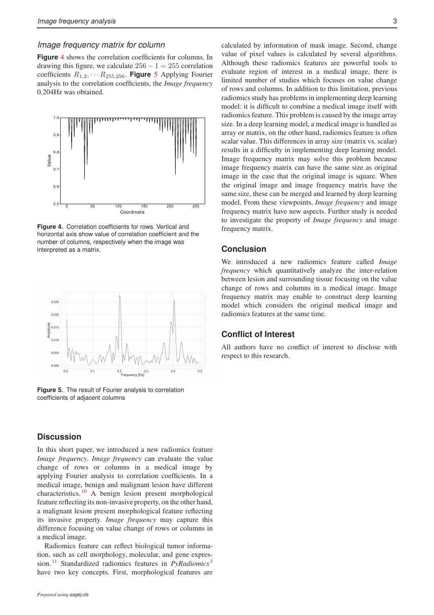## *Image frequency matrix for column*

**Figure** 4 shows the correlation coefficients for columns. In drawing this figure, we calculate  $256 - 1 = 255$  correlation coefficients  $R_{1,2}, \cdots R_{255,256}$ . **Figure 5** Applying Fourier analysis to the correlation coefficients, the *Image frequency* 0.204Hz was obtained.



**Figure 4.** Correlation coefficients for rows. Vertical and horizontal axis show value of correlation coefficient and the number of columns, respectively when the image was interpreted as a matrix.



**Figure 5.** The result of Fourier analysis to correlation coefficients of adjacent columns

## **Discussion**

In this short paper, we introduced a new radiomics feature *Image frequency*. *Image frequency* can evaluate the value change of rows or columns in a medical image by applying Fourier analysis to correlation coefficients. In a medical image, benign and malignant lesion have different characteristics.  $\frac{10}{10}$  A benign lesion present morphological feature reflecting its non-invasive property, on the other hand, a malignant lesion present morphological feature reflecting its invasive property. *Image frequency* may capture this difference focusing on value change of rows or columns in a medical image.

Radiomics feature can reflect biological tumor information, such as cell morphology, molecular, and gene expression. <sup>11</sup> Standardized radiomics features in *PyRadiomics* <sup>3</sup> have two key concepts. First, morphological features are

calculated by information of mask image. Second, change value of pixel values is calculated by several algorithms. Although these radiomics features are powerful tools to evaluate region of interest in a medical image, there is limited number of studies which focuses on value change of rows and columns. In addition to this limitation, previous radiomics study has problems in implementing deep learning model: it is difficult to combine a medical image itself with radiomics feature. This problem is caused by the image array size. In a deep learning model, a medical image is handled as array or matrix, on the other hand, radiomics feature is often scalar value. This differences in array size (matrix vs. scalar) results in a difficulty in implementing deep learning model. Image frequency matrix may solve this problem because image frequency matrix can have the same size as original image in the case that the original image is square. When the original image and image frequency matrix have the same size, these can be merged and learned by deep learning model. From these viewpoints, *Image frequency* and image frequency matrix have new aspects. Further study is needed to investigate the property of *Image frequency* and image frequency matrix.

## **Conclusion**

We introduced a new radiomics feature called *Image frequency* which quantitatively analyze the inter-relation between lesion and surrounding tissue focusing on the value change of rows and columns in a medical image. Image frequency matrix may enable to construct deep learning model which considers the original medical image and radiomics features at the same time.

## **Conflict of Interest**

All authors have no conflict of interest to disclose with respect to this research.